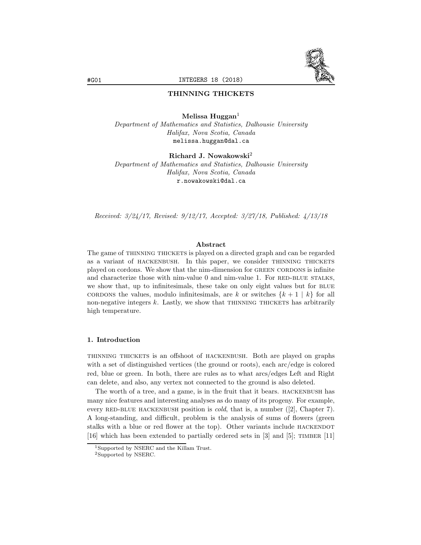

# THINNING THICKETS

Melissa Huggan $<sup>1</sup>$ </sup> *Department of Mathematics and Statistics, Dalhousie University Halifax, Nova Scotia, Canada* melissa.huggan@dal.ca

Richard J. Nowakowski<sup>2</sup>

*Department of Mathematics and Statistics, Dalhousie University Halifax, Nova Scotia, Canada* r.nowakowski@dal.ca

*Received: 3/24/17, Revised: 9/12/17, Accepted: 3/27/18, Published: 4/13/18*

#### Abstract

The game of THINNING THICKETS is played on a directed graph and can be regarded as a variant of HACKENBUSH. In this paper, we consider THINNING THICKETS played on cordons. We show that the nim-dimension for green cordons is infinite and characterize those with nim-value  $0$  and nim-value 1. For RED-BLUE STALKS, we show that, up to infinitesimals, these take on only eight values but for BLUE cordons the values, modulo infinitesimals, are *k* or switches  $\{k+1 \mid k\}$  for all non-negative integers  $k$ . Lastly, we show that THINNING THICKETS has arbitrarily high temperature.

# 1. Introduction

thinning thickets is an offshoot of hackenbush. Both are played on graphs with a set of distinguished vertices (the ground or roots), each arc/edge is colored red, blue or green. In both, there are rules as to what arcs/edges Left and Right can delete, and also, any vertex not connected to the ground is also deleted.

The worth of a tree, and a game, is in the fruit that it bears. HACKENBUSH has many nice features and interesting analyses as do many of its progeny. For example, every RED-BLUE HACKENBUSH position is *cold*, that is, a number ([2], Chapter 7). A long-standing, and difficult, problem is the analysis of sums of flowers (green stalks with a blue or red flower at the top). Other variants include HACKENDOT [16] which has been extended to partially ordered sets in [3] and [5]; timber [11]

<sup>1</sup>Supported by NSERC and the Killam Trust.

<sup>2</sup>Supported by NSERC.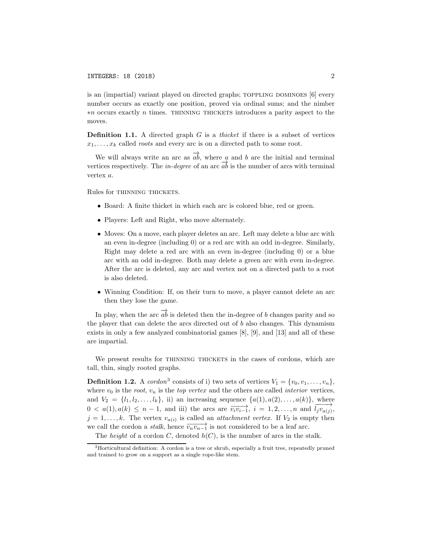is an (impartial) variant played on directed graphs;  $\text{TOPPLING DOMINOES}$  [6] every number occurs as exactly one position, proved via ordinal sums; and the nimber ∗*n* occurs exactly *n* times. thinning thickets introduces a parity aspect to the moves.

Definition 1.1. A directed graph *G* is a *thicket* if there is a subset of vertices  $x_1, \ldots, x_k$  called *roots* and every arc is on a directed path to some root.

We will always write an arc as  $\overrightarrow{ab}$ , where *a* and *b* are the initial and terminal vertices respectively. The *in-degree* of an arc  $\overline{ab}$  is the number of arcs with terminal vertex *a*.

Rules for THINNING THICKETS.

- Board: A finite thicket in which each arc is colored blue, red or green.
- *•* Players: Left and Right, who move alternately.
- *•* Moves: On a move, each player deletes an arc. Left may delete a blue arc with an even in-degree (including 0) or a red arc with an odd in-degree. Similarly, Right may delete a red arc with an even in-degree (including 0) or a blue arc with an odd in-degree. Both may delete a green arc with even in-degree. After the arc is deleted, any arc and vertex not on a directed path to a root is also deleted.
- Winning Condition: If, on their turn to move, a player cannot delete an arc then they lose the game.

In play, when the arc  $\overrightarrow{ab}$  is deleted then the in-degree of *b* changes parity and so the player that can delete the arcs directed out of *b* also changes. This dynamism exists in only a few analyzed combinatorial games [8], [9], and [13] and all of these are impartial.

We present results for THINNING THICKETS in the cases of cordons, which are tall, thin, singly rooted graphs.

**Definition 1.2.** A *cordon*<sup>3</sup> consists of i) two sets of vertices  $V_1 = \{v_0, v_1, \ldots, v_n\}$ , where  $v_0$  is the *root*,  $v_n$  is the *top vertex* and the others are called *interior* vertices, and  $V_2 = \{l_1, l_2, ..., l_k\}$ , ii) an increasing sequence  $\{a(1), a(2), ..., a(k)\}$ , where  $0 < a(1), a(k) \leq n-1$ , and iii) the arcs are  $\overrightarrow{v_i v_{i-1}}, i = 1, 2, ..., n$  and  $\overrightarrow{l_j v_{a(j)}},$  $j = 1, \ldots, k$ . The vertex  $v_{a(i)}$  is called an *attachment vertex*. If  $V_2$  is empty then we call the cordon a *stalk*, hence  $\overrightarrow{v_n v_{n-1}}$  is not considered to be a leaf arc.

The *height* of a cordon *C*, denoted  $h(C)$ , is the number of arcs in the stalk.

<sup>3</sup>Horticultural definition: A cordon is a tree or shrub, especially a fruit tree, repeatedly pruned and trained to grow on a support as a single rope-like stem.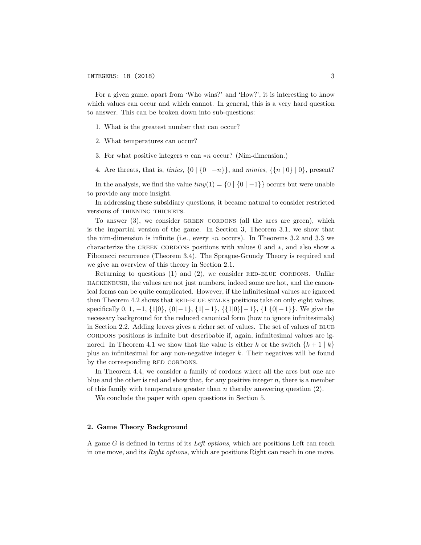For a given game, apart from 'Who wins?' and 'How?', it is interesting to know which values can occur and which cannot. In general, this is a very hard question to answer. This can be broken down into sub-questions:

- 1. What is the greatest number that can occur?
- 2. What temperatures can occur?
- 3. For what positive integers *n* can ∗*n* occur? (Nim-dimension.)
- 4. Are threats, that is, *tinies*,  $\{0 \mid \{0 \mid -n\}\}\$ , and *minies*,  $\{\{n \mid 0\} \mid 0\}$ , present?

In the analysis, we find the value  $\lim_{n \to \infty} f(n) = \{0 \mid \{0 \mid -1\}\}\$  occurs but were unable to provide any more insight.

In addressing these subsidiary questions, it became natural to consider restricted versions of THINNING THICKETS.

To answer (3), we consider GREEN CORDONS (all the arcs are green), which is the impartial version of the game. In Section 3, Theorem 3.1, we show that the nim-dimension is infinite (i.e., every ∗*n* occurs). In Theorems 3.2 and 3.3 we characterize the green cordons positions with values 0 and ∗, and also show a Fibonacci recurrence (Theorem 3.4). The Sprague-Grundy Theory is required and we give an overview of this theory in Section 2.1.

Returning to questions  $(1)$  and  $(2)$ , we consider RED-BLUE CORDONS. Unlike hackenbush, the values are not just numbers, indeed some are hot, and the canonical forms can be quite complicated. However, if the infinitesimal values are ignored then Theorem 4.2 shows that RED-BLUE STALKS positions take on only eight values, specifically 0, 1, −1, *{*1*|*0*}*, *{*0*|*−1*}*, *{*1*|*−1*}*, *{{*1*|*0*}|*−1*}*, *{*1*|{*0*|*−1*}}*. We give the necessary background for the reduced canonical form (how to ignore infinitesimals) in Section 2.2. Adding leaves gives a richer set of values. The set of values of BLUE cordons positions is infinite but describable if, again, infinitesimal values are ignored. In Theorem 4.1 we show that the value is either *k* or the switch  $\{k+1 \mid k\}$ plus an infinitesimal for any non-negative integer *k*. Their negatives will be found by the corresponding RED CORDONS.

In Theorem 4.4, we consider a family of cordons where all the arcs but one are blue and the other is red and show that, for any positive integer *n*, there is a member of this family with temperature greater than *n* thereby answering question (2).

We conclude the paper with open questions in Section 5.

## 2. Game Theory Background

A game *G* is defined in terms of its *Left options*, which are positions Left can reach in one move, and its *Right options*, which are positions Right can reach in one move.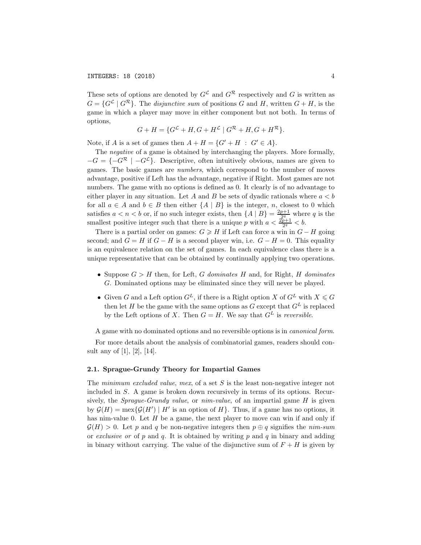These sets of options are denoted by  $G^{\mathcal{L}}$  and  $G^{\mathcal{R}}$  respectively and G is written as  $G = \{G^{\mathcal{L}} \mid G^{\mathcal{R}}\}$ . The *disjunctive sum* of positions *G* and *H*, written  $G + H$ , is the game in which a player may move in either component but not both. In terms of options,

$$
G + H = \{G^{\mathcal{L}} + H, G + H^{\mathcal{L}} \mid G^{\mathcal{R}} + H, G + H^{\mathcal{R}}\}.
$$

Note, if *A* is a set of games then  $A + H = \{G' + H : G' \in A\}$ .

The *negative* of a game is obtained by interchanging the players. More formally,  $-G = \{-G^R \mid -G^L\}$ . Descriptive, often intuitively obvious, names are given to games. The basic games are *numbers*, which correspond to the number of moves advantage, positive if Left has the advantage, negative if Right. Most games are not numbers. The game with no options is defined as 0. It clearly is of no advantage to either player in any situation. Let *A* and *B* be sets of dyadic rationals where  $a < b$ for all  $a \in A$  and  $b \in B$  then either  $\{A \mid B\}$  is the integer, *n*, closest to 0 which satisfies  $a < n < b$  or, if no such integer exists, then  ${A | B} = \frac{2p+1}{c^2}$  where *q* is the smallest positive integer such that there is a unique *p* with  $a < \frac{2p+1}{2^q} < b$ .

There is a partial order on games:  $G \geq H$  if Left can force a win in  $G - H$  going second; and  $G = H$  if  $G - H$  is a second player win, i.e.  $G - H = 0$ . This equality is an equivalence relation on the set of games. In each equivalence class there is a unique representative that can be obtained by continually applying two operations.

- *•* Suppose *G>H* then, for Left, *G dominates H* and, for Right, *H dominates G*. Dominated options may be eliminated since they will never be played.
- Given *G* and a Left option  $G^L$ , if there is a Right option *X* of  $G^L$  with  $X \le G$ then let *H* be the game with the same options as *G* except that  $G^L$  is replaced by the Left options of *X*. Then  $G = H$ . We say that  $G<sup>L</sup>$  is *reversible*.

A game with no dominated options and no reversible options is in *canonical form*.

For more details about the analysis of combinatorial games, readers should consult any of [1], [2], [14].

#### 2.1. Sprague-Grundy Theory for Impartial Games

The *minimum excluded value*, *mex*, of a set *S* is the least non-negative integer not included in *S*. A game is broken down recursively in terms of its options. Recursively, the *Sprague-Grundy value*, or *nim-value*, of an impartial game *H* is given by  $\mathcal{G}(H) = \max\{\mathcal{G}(H') \mid H' \text{ is an option of } H\}.$  Thus, if a game has no options, it has nim-value 0. Let *H* be a game, the next player to move can win if and only if  $\mathcal{G}(H) > 0$ . Let *p* and *q* be non-negative integers then  $p \oplus q$  signifies the *nim-sum* or *exclusive or* of *p* and *q*. It is obtained by writing *p* and *q* in binary and adding in binary without carrying. The value of the disjunctive sum of  $F + H$  is given by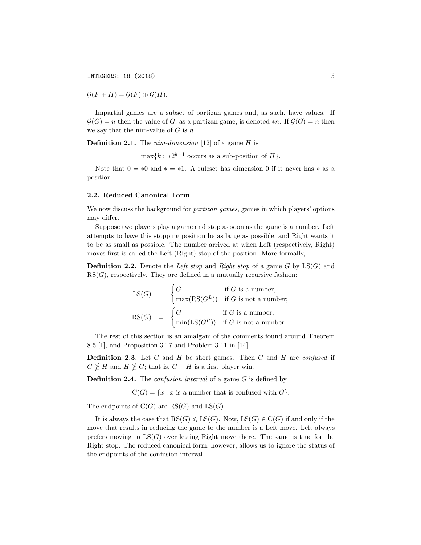**INTEGERS: 18 (2018)** 5

 $\mathcal{G}(F + H) = \mathcal{G}(F) \oplus \mathcal{G}(H).$ 

Impartial games are a subset of partizan games and, as such, have values. If  $G(G) = n$  then the value of *G*, as a partizan game, is denoted  $*n$ . If  $G(G) = n$  then we say that the nim-value of *G* is *n*.

Definition 2.1. The *nim-dimension* [12] of a game *H* is

 $\max\{k : *2^{k-1}$  occurs as a sub-position of *H* $\}$ .

Note that  $0 = *0$  and  $* = *1$ . A ruleset has dimension 0 if it never has  $*$  as a position.

#### 2.2. Reduced Canonical Form

We now discuss the background for *partizan games*, games in which players' options may differ.

Suppose two players play a game and stop as soon as the game is a number. Left attempts to have this stopping position be as large as possible, and Right wants it to be as small as possible. The number arrived at when Left (respectively, Right) moves first is called the Left (Right) stop of the position. More formally,

Definition 2.2. Denote the *Left stop* and *Right stop* of a game *G* by LS(*G*) and  $RS(G)$ , respectively. They are defined in a mutually recursive fashion:

$$
LS(G) = \begin{cases} G & \text{if } G \text{ is a number,} \\ \max(RS(G^L)) & \text{if } G \text{ is not a number;} \\ \max(G) & = \begin{cases} G & \text{if } G \text{ is a number,} \\ \min(LS(G^R)) & \text{if } G \text{ is not a number.} \end{cases} \end{cases}
$$

The rest of this section is an amalgam of the comments found around Theorem 8.5 [1], and Proposition 3.17 and Problem 3.11 in [14].

Definition 2.3. Let *G* and *H* be short games. Then *G* and *H* are *confused* if  $G \not\geq H$  and  $H \not\geq G$ ; that is,  $G - H$  is a first player win.

Definition 2.4. The *confusion interval* of a game *G* is defined by

 $C(G) = \{x : x \text{ is a number that is confused with } G\}.$ 

The endpoints of  $C(G)$  are  $RS(G)$  and  $LS(G)$ .

It is always the case that  $RS(G) \leqslant LS(G)$ . Now,  $LS(G) \in C(G)$  if and only if the move that results in reducing the game to the number is a Left move. Left always prefers moving to  $LS(G)$  over letting Right move there. The same is true for the Right stop. The reduced canonical form, however, allows us to ignore the status of the endpoints of the confusion interval.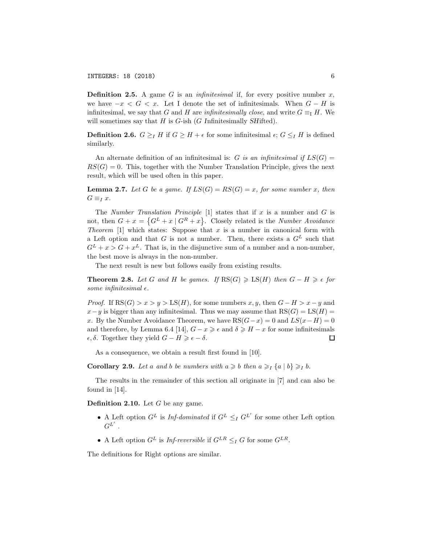Definition 2.5. A game *G* is an *infinitesimal* if, for every positive number *x*, we have  $-x < G < x$ . Let I denote the set of infinitesimals. When  $G - H$  is infinitesimal, we say that *G* and *H* are *infinitesimally close*, and write  $G \equiv_I H$ . We will sometimes say that *H* is *G*-ish (*G I*nfinitesimally *SH*ifted).

**Definition 2.6.**  $G \geq I$  *H* if  $G \geq H + \epsilon$  for some infinitesimal  $\epsilon$ ;  $G \leq I$  *H* is defined similarly.

An alternate definition of an infinitesimal is: *G is an infinitesimal if*  $LS(G)$  =  $RS(G) = 0$ . This, together with the Number Translation Principle, gives the next result, which will be used often in this paper.

**Lemma 2.7.** Let *G* be a game. If  $LS(G) = RS(G) = x$ *, for some number x, then*  $G \equiv_I x$ .

The *Number Translation Principle* [1] states that if *x* is a number and *G* is not, then  $G + x = \{G^L + x | G^R + x\}$ . Closely related is the *Number Avoidance Theorem* [1] which states: Suppose that *x* is a number in canonical form with a Left option and that  $G$  is not a number. Then, there exists a  $G<sup>L</sup>$  such that  $G^L + x > G + x^L$ . That is, in the disjunctive sum of a number and a non-number, the best move is always in the non-number.

The next result is new but follows easily from existing results.

**Theorem 2.8.** Let G and H be games. If  $\text{RS}(G) \geqslant \text{LS}(H)$  then  $G - H \geqslant \epsilon$  for *some infinitesimal*  $\epsilon$ *.* 

*Proof.* If  $RS(G) > x > y > LS(H)$ , for some numbers *x*, *y*, then  $G - H > x - y$  and  $x - y$  is bigger than any infinitesimal. Thus we may assume that RS(*G*) = LS(*H*) = *x*. By the Number Avoidance Theorem, we have  $RS(G-x) = 0$  and  $LS(x-H) = 0$ and therefore, by Lemma 6.4 [14],  $G - x \geq \epsilon$  and  $\delta \geq H - x$  for some infinitesimals  $\epsilon, \delta$ . Together they yield  $G - H \geqslant \epsilon - \delta$ . □

As a consequence, we obtain a result first found in [10].

**Corollary 2.9.** Let a and b be numbers with  $a \geq b$  then  $a \geq 1$   $\{a \mid b\} \geq 1$  b.

The results in the remainder of this section all originate in [7] and can also be found in [14].

Definition 2.10. Let *G* be any game.

- A Left option  $G^L$  is *Inf-dominated* if  $G^L \leq_I G^{L'}$  for some other Left option  $G^{L^{\prime}}$  .
- A Left option  $G^L$  is *Inf-reversible* if  $G^{LR} \leq_I G$  for some  $G^{LR}$ .

The definitions for Right options are similar.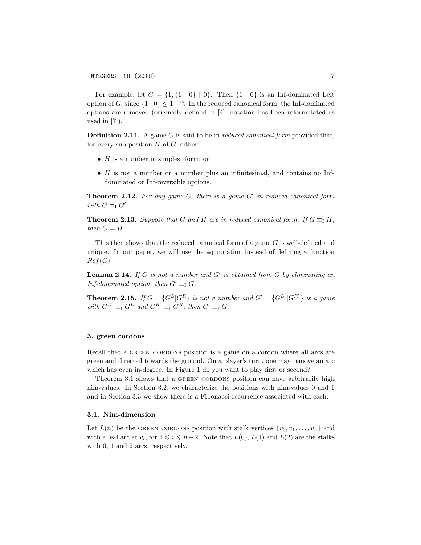For example, let  $G = \{1, \{1 \mid 0\} \mid 0\}$ . Then  $\{1 \mid 0\}$  is an Inf-dominated Left option of *G*, since  $\{1 \mid 0\} \leq 1+\uparrow$ . In the reduced canonical form, the Inf-dominated options are removed (originally defined in [4], notation has been reformulated as used in [7]).

Definition 2.11. A game *G* is said to be in *reduced canonical form* provided that, for every sub-position *H* of *G*, either:

- *• H* is a number in simplest form; or
- *• H* is not a number or a number plus an infinitesimal, and contains no Infdominated or Inf-reversible options.

Theorem 2.12. *For any game G, there is a game G*′ *in reduced canonical form with*  $G \equiv_I G'$ .

**Theorem 2.13.** Suppose that G and H are in reduced canonical form. If  $G \equiv_I H$ , *then*  $G = H$ *.* 

This then shows that the reduced canonical form of a game *G* is well-defined and unique. In our paper, we will use the  $\equiv$ <sub>I</sub> notation instead of defining a function  $Rcf(G)$ .

Lemma 2.14. *If G is not a number and G*′ *is obtained from G by eliminating an Inf-dominated option, then*  $G' \equiv_I G$ *.* 

**Theorem 2.15.** If  $G = \{G^L | G^R\}$  is not a number and  $G' = \{G^{L'} | G^{R'}\}$  is a game  $with$   $G^L' \equiv_I G^L$  *and*  $G^{R'} \equiv_I G^R$ *, then*  $G' \equiv_I G$ *.* 

# 3. green cordons

Recall that a GREEN CORDONS position is a game on a cordon where all arcs are green and directed towards the ground. On a player's turn, one may remove an arc which has even in-degree. In Figure 1 do you want to play first or second?

Theorem 3.1 shows that a GREEN CORDONS position can have arbitrarily high nim-values. In Section 3.2, we characterize the positions with nim-values 0 and 1 and in Section 3.3 we show there is a Fibonacci recurrence associated with each.

### 3.1. Nim-dimension

Let  $L(n)$  be the GREEN CORDONS position with stalk vertices  $\{v_0, v_1, \ldots, v_n\}$  and with a leaf arc at  $v_i$ , for  $1 \leq i \leq n-2$ . Note that  $L(0)$ ,  $L(1)$  and  $L(2)$  are the stalks with 0, 1 and 2 arcs, respectively.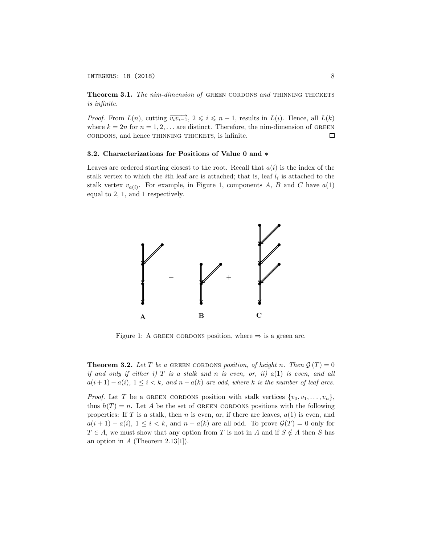#### INTEGERS: 18 (2018) 8

Theorem 3.1. *The nim-dimension of* GREEN CORDONS and THINNING THICKETS *is infinite.*

*Proof.* From  $L(n)$ , cutting  $\overrightarrow{v_i v_{i-1}}$ ,  $2 \leq i \leq n-1$ , results in  $L(i)$ . Hence, all  $L(k)$ where  $k = 2n$  for  $n = 1, 2, \ldots$  are distinct. Therefore, the nim-dimension of GREEN cordons, and hence thinning thickets, is infinite. □

### 3.2. Characterizations for Positions of Value 0 and ∗

Leaves are ordered starting closest to the root. Recall that  $a(i)$  is the index of the stalk vertex to which the *i*th leaf arc is attached; that is, leaf  $l_i$  is attached to the stalk vertex  $v_{a(i)}$ . For example, in Figure 1, components *A*, *B* and *C* have  $a(1)$ equal to 2, 1, and 1 respectively.



Figure 1: A GREEN CORDONS position, where  $\Rightarrow$  is a green arc.

**Theorem 3.2.** Let T be a GREEN CORDONS position, of height *n*. Then  $\mathcal{G}(T) = 0$ *if and only if either i) T is a stalk and n is even, or, ii) a*(1) *is even, and all*  $a(i+1) - a(i)$ ,  $1 \leq i < k$ , and  $n - a(k)$  are odd, where *k* is the number of leaf arcs.

*Proof.* Let *T* be a GREEN CORDONS position with stalk vertices  $\{v_0, v_1, \ldots, v_n\}$ , thus  $h(T) = n$ . Let A be the set of GREEN CORDONS positions with the following properties: If *T* is a stalk, then *n* is even, or, if there are leaves, *a*(1) is even, and  $a(i + 1) - a(i)$ ,  $1 \leq i < k$ , and  $n - a(k)$  are all odd. To prove  $\mathcal{G}(T) = 0$  only for  $T \in A$ , we must show that any option from *T* is not in *A* and if  $S \notin A$  then *S* has an option in *A* (Theorem 2.13[1]).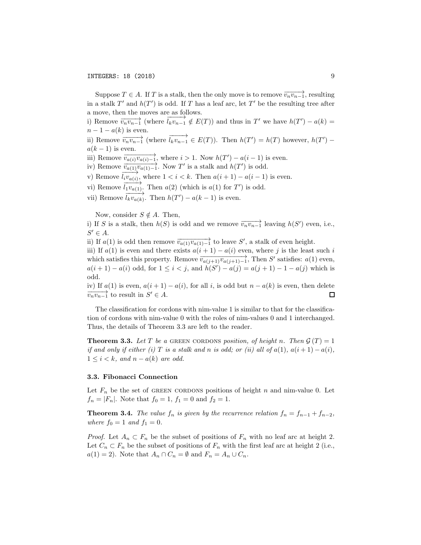Suppose  $T \in A$ . If *T* is a stalk, then the only move is to remove  $\overrightarrow{v_n v_{n-1}}$ , resulting in a stalk  $T'$  and  $h(T')$  is odd. If  $T$  has a leaf arc, let  $T'$  be the resulting tree after a move, then the moves are as follows.

i) Remove  $\overrightarrow{v_n v_{n-1}}$  (where  $\overrightarrow{l_k v_{n-1}} \notin E(T)$ ) and thus in  $T'$  we have  $h(T') - a(k) =$  $n-1 - a(k)$  is even.

ii) Remove  $\overrightarrow{v_n v_{n-1}}$  (where  $\overrightarrow{l_k v_{n-1}} \in E(T)$ ). Then  $h(T') = h(T)$  however,  $h(T')$  $a(k-1)$  is even.

iii) Remove  $\overrightarrow{v_{a(i)}v_{a(i)-1}}$ , where  $i > 1$ . Now  $h(T') - a(i-1)$  is even.

iv) Remove  $\overrightarrow{v_{a(1)}v_{a(1)-1}}$ . Now *T'* is a stalk and *h*(*T'*) is odd.

v) Remove  $\overrightarrow{l_i v_{a(i)}}$ , where  $1 < i < k$ . Then  $a(i + 1) - a(i - 1)$  is even.

vi) Remove  $\overrightarrow{l_1v_{a(1)}}$ . Then  $a(2)$  (which is  $a(1)$  for  $T'$ ) is odd.

vii) Remove  $\overrightarrow{l_k v_{a(k)}}$ . Then  $h(T') - a(k-1)$  is even.

Now, consider  $S \notin A$ . Then,

i) If *S* is a stalk, then  $h(S)$  is odd and we remove  $\overrightarrow{v_n v_{n-1}}$  leaving  $h(S')$  even, i.e.,  $S' \in A$ .

ii) If  $a(1)$  is odd then remove  $\overrightarrow{v_{a(1)}v_{a(1)-1}}$  to leave *S'*, a stalk of even height.

iii) If  $a(1)$  is even and there exists  $a(i + 1) - a(i)$  even, where *j* is the least such *i* which satisfies this property. Remove  $\overrightarrow{v_{a(j+1)}v_{a(j+1)-1}}$ , Then *S'* satisfies: *a*(1) even, *a*(*i* + 1) − *a*(*i*) odd, for  $1 \le i < j$ , and  $h(S') - a(j) = a(j + 1) - 1 - a(j)$  which is odd.

iv) If  $a(1)$  is even,  $a(i + 1) - a(i)$ , for all *i*, is odd but  $n - a(k)$  is even, then delete  $\overrightarrow{v_n v_{n-1}}$  to result in  $S' \in A$ .

The classification for cordons with nim-value 1 is similar to that for the classification of cordons with nim-value 0 with the roles of nim-values 0 and 1 interchanged. Thus, the details of Theorem 3.3 are left to the reader.

**Theorem 3.3.** Let T be a GREEN CORDONS position, of height *n*. Then  $\mathcal{G}(T) = 1$ *if and only if either (i)*  $T$  *is a stalk and n is odd; or (ii) all of*  $a(1)$ *,*  $a(i+1) - a(i)$ *,*  $1 \leq i \leq k$ *, and*  $n - a(k)$  *are odd.* 

#### 3.3. Fibonacci Connection

Let  $F_n$  be the set of GREEN CORDONS positions of height *n* and nim-value 0. Let  $f_n = |F_n|$ . Note that  $f_0 = 1$ ,  $f_1 = 0$  and  $f_2 = 1$ .

**Theorem 3.4.** *The value*  $f_n$  *is given by the recurrence relation*  $f_n = f_{n-1} + f_{n-2}$ *, where*  $f_0 = 1$  *and*  $f_1 = 0$ *.* 

*Proof.* Let  $A_n \subset F_n$  be the subset of positions of  $F_n$  with no leaf arc at height 2. Let  $C_n \subset F_n$  be the subset of positions of  $F_n$  with the first leaf arc at height 2 (i.e.,  $a(1) = 2$ . Note that  $A_n \cap C_n = \emptyset$  and  $F_n = A_n \cup C_n$ .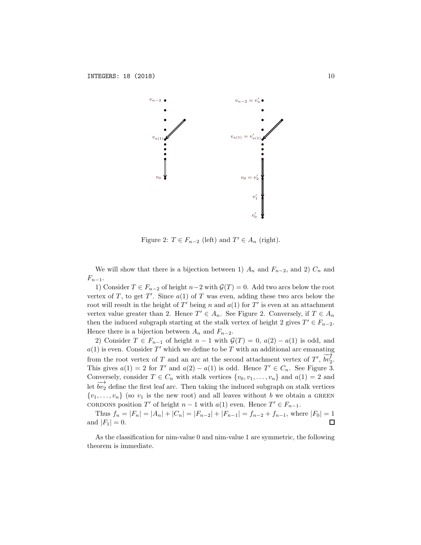

Figure 2:  $T \in F_{n-2}$  (left) and  $T' \in A_n$  (right).

We will show that there is a bijection between 1)  $A_n$  and  $F_{n-2}$ , and 2)  $C_n$  and  $F_{n-1}$ .

1) Consider  $T \text{ ∈ } F_{n-2}$  of height  $n-2$  with  $\mathcal{G}(T) = 0$ . Add two arcs below the root vertex of *T*, to get *T'*. Since  $a(1)$  of *T* was even, adding these two arcs below the root will result in the height of  $T'$  being *n* and  $a(1)$  for  $T'$  is even at an attachment vertex value greater than 2. Hence  $T' \in A_n$ . See Figure 2. Conversely, if  $T \in A_n$ then the induced subgraph starting at the stalk vertex of height 2 gives  $T' \in F_{n-2}$ . Hence there is a bijection between  $A_n$  and  $F_{n-2}$ .

2) Consider  $T \in F_{n-1}$  of height  $n-1$  with  $\mathcal{G}(T) = 0$ ,  $a(2) - a(1)$  is odd, and  $a(1)$  is even. Consider  $T'$  which we define to be  $T$  with an additional arc emanating from the root vertex of *T* and an arc at the second attachment vertex of *T'*,  $\overrightarrow{bv_2}$ . This gives  $a(1) = 2$  for *T'* and  $a(2) - a(1)$  is odd. Hence  $T' \in C_n$ . See Figure 3. Conversely, consider  $T \in C_n$  with stalk vertices  $\{v_0, v_1, \ldots, v_n\}$  and  $a(1) = 2$  and let  $bv_2'$  define the first leaf arc. Then taking the induced subgraph on stalk vertices  $\{v_1, \ldots, v_n\}$  (so  $v_1$  is the new root) and all leaves without *b* we obtain a GREEN cordons position *T'* of height  $n-1$  with  $a(1)$  even. Hence  $T' \in F_{n-1}$ .

Thus  $f_n = |F_n| = |A_n| + |C_n| = |F_{n-2}| + |F_{n-1}| = f_{n-2} + f_{n-1}$ , where  $|F_0| = 1$ <br>d  $|F_1| = 0$ . and  $|F_1| = 0$ .

As the classification for nim-value 0 and nim-value 1 are symmetric, the following theorem is immediate.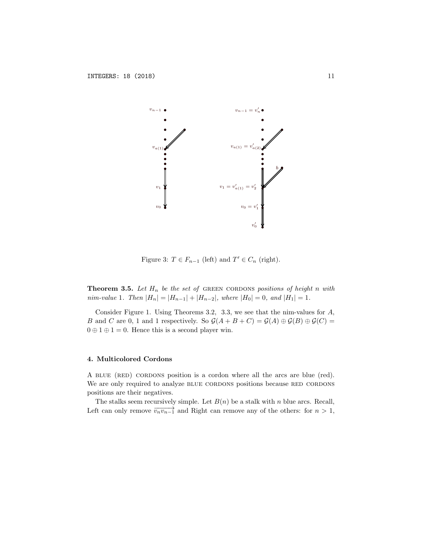

Figure 3:  $T \in F_{n-1}$  (left) and  $T' \in C_n$  (right).

**Theorem 3.5.** Let  $H_n$  be the set of GREEN CORDONS positions of height *n* with *nim-value* 1. Then  $|H_n| = |H_{n-1}| + |H_{n-2}|$ , where  $|H_0| = 0$ , and  $|H_1| = 1$ .

Consider Figure 1. Using Theorems 3.2, 3.3, we see that the nim-values for *A*, *B* and *C* are 0, 1 and 1 respectively. So  $\mathcal{G}(A + B + C) = \mathcal{G}(A) \oplus \mathcal{G}(B) \oplus \mathcal{G}(C)$  $0 \oplus 1 \oplus 1 = 0$ . Hence this is a second player win.

# 4. Multicolored Cordons

A blue (red) cordons position is a cordon where all the arcs are blue (red). We are only required to analyze BLUE CORDONS positions because RED CORDONS positions are their negatives.

The stalks seem recursively simple. Let  $B(n)$  be a stalk with *n* blue arcs. Recall, Left can only remove  $\overrightarrow{v_n v_{n-1}}$  and Right can remove any of the others: for  $n > 1$ ,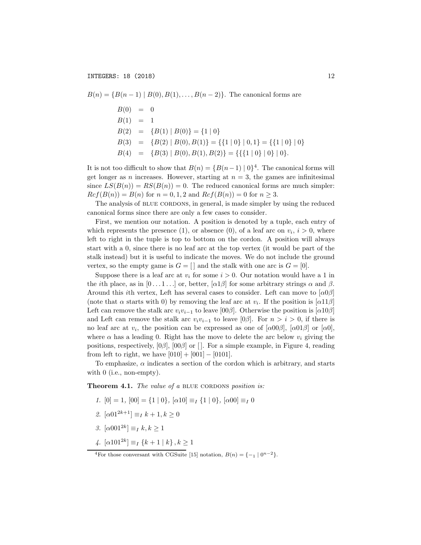*B*(*n*) = {*B*(*n* − 1) | *B*(0)*, B*(1)*,...,B*(*n* − 2)}. The canonical forms are  $B(0) = 0$  $B(1) = 1$  $B(2) = {B(1) | B(0)} = {1 | 0}$  $B(3) = \{B(2) | B(0), B(1)\} = \{\{1 | 0\} | 0, 1\} = \{\{1 | 0\} | 0\}$  $B(4) = {B(3) | B(0), B(1), B(2)} = {({1 | 0} | 0} | 0$ .

It is not too difficult to show that  $B(n) = {B(n-1) | 0}^4$ . The canonical forms will get longer as *n* increases. However, starting at  $n = 3$ , the games are infinitesimal since  $LS(B(n)) = RS(B(n)) = 0$ . The reduced canonical forms are much simpler:  $Rcf(B(n)) = B(n)$  for  $n = 0, 1, 2$  and  $Rcf(B(n)) = 0$  for  $n \ge 3$ .

The analysis of BLUE CORDONS, in general, is made simpler by using the reduced canonical forms since there are only a few cases to consider.

First, we mention our notation. A position is denoted by a tuple, each entry of which represents the presence (1), or absence (0), of a leaf arc on  $v_i$ ,  $i > 0$ , where left to right in the tuple is top to bottom on the cordon. A position will always start with a 0, since there is no leaf arc at the top vertex (it would be part of the stalk instead) but it is useful to indicate the moves. We do not include the ground vertex, so the empty game is  $G = []$  and the stalk with one arc is  $G = [0]$ .

Suppose there is a leaf arc at  $v_i$  for some  $i > 0$ . Our notation would have a 1 in the *i*th place, as in  $[0 \dots 1 \dots]$  or, better,  $[\alpha 1 \beta]$  for some arbitrary strings  $\alpha$  and  $\beta$ . Around this *i*th vertex, Left has several cases to consider. Left can move to  $\alpha\beta$ (note that  $\alpha$  starts with 0) by removing the leaf arc at  $v_i$ . If the position is [ $\alpha$ 11 $\beta$ ] Left can remove the stalk arc  $v_i v_{i-1}$  to leave [00β]. Otherwise the position is [ $\alpha$ 10β] and Left can remove the stalk arc  $v_i v_{i-1}$  to leave [0 $\beta$ ]. For  $n > i > 0$ , if there is no leaf arc at  $v_i$ , the position can be expressed as one of  $\alpha(00\beta)$ ,  $\alpha(01\beta)$  or  $\alpha(0)$ , where  $\alpha$  has a leading 0. Right has the move to delete the arc below  $v_i$  giving the positions, respectively,  $[0\beta]$ ,  $[00\beta]$  or  $[$ . For a simple example, in Figure 4, reading from left to right, we have  $[010] + [001] - [0101]$ .

To emphasize,  $\alpha$  indicates a section of the cordon which is arbitrary, and starts with 0 (i.e., non-empty).

Theorem 4.1. *The value of a* BLUE CORDONS *position is:* 

- *1.*  $[0] = 1$ ,  $[00] = \{1 | 0\}$ ,  $[\alpha 10] = I$   $\{1 | 0\}$ ,  $[\alpha 00] = I$
- *2.*  $[\alpha 01^{2k+1}] \equiv I/k + 1, k > 0$
- *3.* [α001<sup>2</sup>*<sup>k</sup>*] <sup>≡</sup>*<sup>I</sup> k, k* <sup>≥</sup> <sup>1</sup>
- *4.* [α101<sup>2</sup>*<sup>k</sup>*] <sup>≡</sup>*<sup>I</sup> {<sup>k</sup>* + 1 *<sup>|</sup> <sup>k</sup>} , k* <sup>≥</sup> <sup>1</sup>

<sup>&</sup>lt;sup>4</sup>For those conversant with CGSuite [15] notation,  $B(n) = \{-1 \mid 0^{n-2}\}.$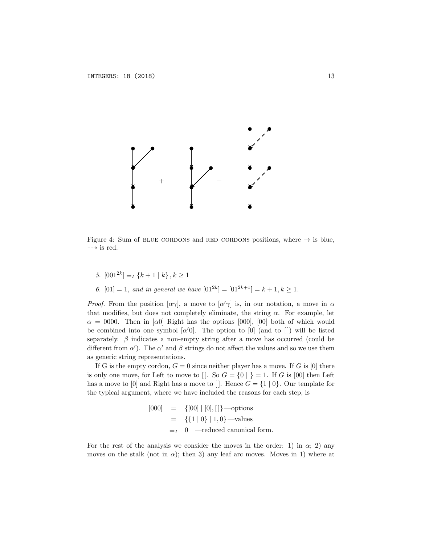

Figure 4: Sum of BLUE CORDONS and RED CORDONS positions, where  $\rightarrow$  is blue,  $\rightarrow$  is red.

- *5.*  $[001^{2k}]$  ≡*I*  $\{k+1 | k\}$ ,  $k>1$
- *6.*  $[01] = 1$ *, and in general we have*  $[01^{2k}] = [01^{2k+1}] = k + 1, k \ge 1$ *.*

*Proof.* From the position  $[\alpha \gamma]$ , a move to  $[\alpha' \gamma]$  is, in our notation, a move in  $\alpha$ that modifies, but does not completely eliminate, the string  $\alpha$ . For example, let  $\alpha = 0000$ . Then in [a0] Right has the options [000], [00] both of which would be combined into one symbol  $\alpha'$ <sub>0</sub>. The option to [0] (and to [1]) will be listed separately.  $\beta$  indicates a non-empty string after a move has occurred (could be different from  $\alpha'$ ). The  $\alpha'$  and  $\beta$  strings do not affect the values and so we use them as generic string representations.

If G is the empty cordon,  $G = 0$  since neither player has a move. If G is [0] there is only one move, for Left to move to  $\vert \cdot \vert$ . So  $G = \{0 \vert \cdot \vert\} = 1$ . If *G* is [00] then Left has a move to [0] and Right has a move to [1]. Hence  $G = \{1 \mid 0\}$ . Our template for the typical argument, where we have included the reasons for each step, is

$$
\begin{array}{rcl}\n[000] & = & \{[00] \mid [0], [\,]\} \longrightarrow \text{options} \\
& = & \{ \{1 \mid 0\} \mid 1, 0 \} \longrightarrow \text{values} \\
& \equiv_I \quad 0 \quad \longrightarrow \text{reduced canonical form.}\n\end{array}
$$

For the rest of the analysis we consider the moves in the order: 1) in  $\alpha$ ; 2) any moves on the stalk (not in  $\alpha$ ); then 3) any leaf arc moves. Moves in 1) where at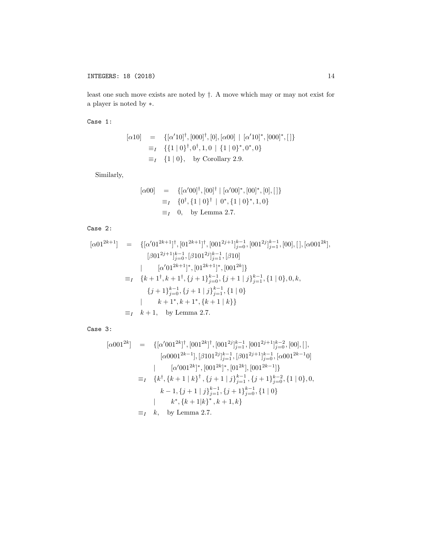least one such move exists are noted by *†*. A move which may or may not exist for a player is noted by ∗.

Case 1:

$$
\begin{array}{rcl}\n[\alpha 10] & = & \{[\alpha' 10]^{\dagger}, [000]^{\dagger}, [0], [\alpha 00] \mid [\alpha' 10]^*, [000]^*, [\,]\}\n\\
& \equiv_I & \{ \{1 \mid 0\}^{\dagger}, 0^{\dagger}, 1, 0 \mid \{1 \mid 0\}^*, 0^*, 0 \}\n\\
& \equiv_I & \{1 \mid 0\}, \quad \text{by Corollary 2.9.}\n\end{array}
$$

Similarly,

$$
[\alpha 00] = \{ [\alpha' 00]^{\dagger}, [00]^{\dagger} | [\alpha' 00]^*, [00]^*, [0], [\,]\}
$$
  

$$
\equiv_I \{0^{\dagger}, \{1 \mid 0\}^{\dagger} | 0^*, \{1 \mid 0\}^*, 1, 0\}
$$
  

$$
\equiv_I \{0, \text{ by Lemma 2.7.}
$$

Case 2:

$$
[\alpha 01^{2k+1}] = \{ [\alpha' 01^{2k+1}]^{\dagger}, [01^{2k+1}]^{\dagger}, [001^{2j+1}]_{j=0}^{k-1}, [001^{2j}]_{j=1}^{k-1}, [00], [], [\alpha 001^{2k}],
$$
  
\n
$$
[\beta 01^{2j+1}]_{j=0}^{k-1}, [\beta 101^{2j}]_{j=1}^{k-1}, [\beta 10]
$$
  
\n
$$
[\alpha' 01^{2k+1}]^*, [01^{2k+1}]^*, [001^{2k}] \}
$$
  
\n
$$
\equiv_I \{k+1^{\dagger}, k+1^{\dagger}, \{j+1\}_{j=0}^{k-1}, \{j+1 \mid j\}_{j=1}^{k-1}, \{1 \mid 0\}, 0, k,
$$
  
\n
$$
\{j+1\}_{j=0}^{k-1}, \{j+1 \mid j\}_{j=1}^{k-1}, \{1 \mid 0\}
$$
  
\n
$$
k+1^*, k+1^*, \{k+1 \mid k\} \}
$$
  
\n
$$
\equiv_I \{k+1, \text{ by Lemma 2.7.}
$$

Case 3:

$$
[\alpha 001^{2k}] = \{ [\alpha' 001^{2k}]^{\dagger}, [001^{2k}]^{\dagger}, [001^{2j}]_{j=1}^{k-1}, [001^{2j+1}]_{j=0}^{k-2}, [00], [],
$$
  
\n
$$
[\alpha 0001^{2k-1}], [\beta 101^{2j}]_{j=1}^{k-1}, [\beta 01^{2j+1}]_{j=0}^{k-1}, [\alpha 001^{2k-1}0]
$$
  
\n
$$
[\alpha' 001^{2k}]^*, [001^{2k}]^*, [01^{2k}], [001^{2k-1}] \}
$$
  
\n
$$
\equiv_I \{ k^{\dagger}, \{ k+1 | k \}^{\dagger}, \{ j+1 | j \}_{j=1}^{k-1}, \{ j+1 \}_{j=0}^{k-2}, \{ 1 | 0 \}, 0,
$$
  
\n
$$
k-1, \{ j+1 | j \}_{j=1}^{k-1}, \{ j+1 \}_{j=0}^{k-1}, \{ 1 | 0 \}
$$
  
\n
$$
k^*, \{ k+1 | k \}^*, k+1, k \}
$$
  
\n
$$
\equiv_I k, \text{ by Lemma 2.7.}
$$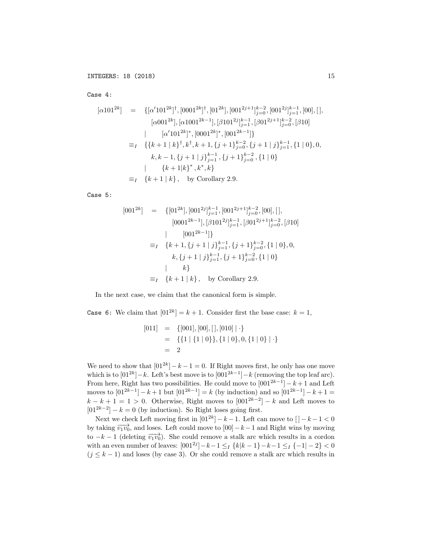Case 4:

$$
[\alpha 101^{2k}] = \{ [\alpha' 101^{2k}]^{\dagger}, [0001^{2k}]^{\dagger}, [011^{2k}], [001^{2j+1}]_{j=0}^{k-2}, [001^{2j}]_{j=1}^{k-1}, [00], [],
$$
  
\n
$$
[\alpha 001^{2k}], [\alpha 1001^{2k-1}], [\beta 101^{2j}]_{j=1}^{k-1}, [\beta 01^{2j+1}]_{j=0}^{k-2}, [\beta 10]
$$
  
\n
$$
[\alpha' 101^{2k}]^{\dagger}, [0001^{2k}]^{\dagger}, [001^{2k-1}] \}
$$
  
\n
$$
\equiv_I \{ \{ k+1 | k \}^{\dagger}, k^{\dagger}, k+1, \{ j+1 \}^{k-2}_{j=0}, \{ j+1 | j \}^{k-1}_{j=1}, \{ 1 | 0 \}, 0,
$$
  
\n
$$
k, k-1, \{ j+1 | j \}^{k-1}_{j=1}, \{ j+1 \}^{k-2}_{j=0}, \{ 1 | 0 \}
$$
  
\n
$$
[\{ k+1 | k \}^{\dagger}, k^{\dagger}, k \}
$$
  
\n
$$
\equiv_I \{ k+1 | k \}, \text{ by Corollary 2.9.}
$$

Case 5:

$$
[001^{2k}] = \{ [01^{2k}], [001^{2j}]_{j=1}^{k-1}, [001^{2j+1}]_{j=0}^{k-2}, [00], [],
$$
  
\n
$$
[0001^{2k-1}], [\beta 101^{2j}]_{j=1}^{k-1}, [\beta 01^{2j+1}]_{j=0}^{k-2}, [\beta 10]
$$
  
\n
$$
= I \{k+1, \{j+1 \mid j\}_{j=1}^{k-1}, \{j+1\}_{j=0}^{k-2}, \{1 \mid 0\}, 0,
$$
  
\n
$$
k, \{j+1 \mid j\}_{j=1}^{k-1}, \{j+1\}_{j=0}^{k-2}, \{1 \mid 0\}
$$
  
\n
$$
= I \{k+1 \mid k\}, \text{ by Corollary 2.9.}
$$

In the next case, we claim that the canonical form is simple.

**Case 6:** We claim that  $[01^{2k}] = k + 1$ . Consider first the base case:  $k = 1$ ,

$$
[011] = \{ [001], [00], [|, [010]| \cdot \}
$$
  
= \{ \{1 | \{1 | 0\}, \{1 | 0\}, 0, \{1 | 0\} | \cdot \}   
= 2

We need to show that  $[01^{2k}] - k - 1 = 0$ . If Right moves first, he only has one move which is to  $[01^{2k}] - k$ . Left's best move is to  $[001^{2k-1}] - k$  (removing the top leaf arc). From here, Right has two possibilities. He could move to  $[001^{2k-1}] - k + 1$  and Left moves to  $[01^{2k-1}] - k + 1$  but  $[01^{2k-1}] = k$  (by induction) and so  $[01^{2k-1}] - k + 1 =$  $k - k + 1 = 1 > 0$ . Otherwise, Right moves to  $[001^{2k-2}] - k$  and Left moves to  $[01^{2k-2}] - k = 0$  (by induction). So Right loses going first.

Next we check Left moving first in  $[01^{2k}] - k - 1$ . Left can move to  $| -k - 1| < 0$ by taking  $\overrightarrow{v_1v_0}$ , and loses. Left could move to  $[00] - k - 1$  and Right wins by moving to  $-k-1$  (deleting  $\overrightarrow{v_1v_0}$ ). She could remove a stalk arc which results in a cordon with an even number of leaves:  $[001^{2j}] - k - 1 \leq I \{k | k - 1\} - k - 1 \leq I \{-1 | - 2\} < 0$  $(j \leq k-1)$  and loses (by case 3). Or she could remove a stalk arc which results in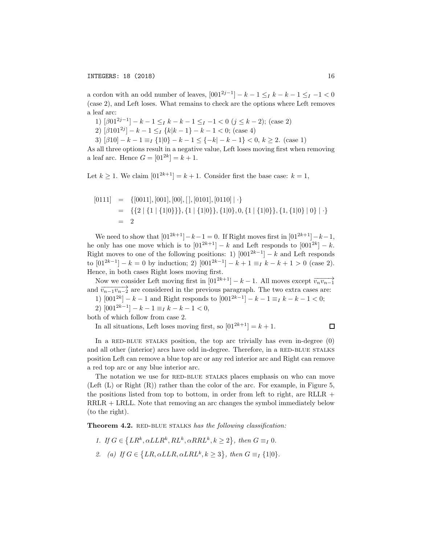a cordon with an odd number of leaves,  $[001^{2j-1}] - k - 1 \leq_I k - k - 1 \leq_I -1 < 0$ (case 2), and Left loses. What remains to check are the options where Left removes a leaf arc:

1)  $\left[\beta 01^{2j-1}\right] - k - 1 \leq I \leq k - 1 \leq I - 1 < 0 \ (j \leq k - 2);$  (case 2)

2)  $[\beta 101^{2j}] - k - 1 \leq I \{k | k - 1\} - k - 1 < 0$ ; (case 4)

3)  $[\beta 10] - k - 1 \equiv_I {\{1|0\} - k - 1 \le \{-k| - k - 1\} < 0, k \ge 2.}$  (case 1)

As all three options result in a negative value, Left loses moving first when removing a leaf arc. Hence  $G = [01^{2k}] = k + 1$ .

Let  $k \geq 1$ . We claim  $[01^{2k+1}] = k+1$ . Consider first the base case:  $k = 1$ ,

$$
[0111] = \{ [0011], [001], [00], [|, [0101], [0110] | \cdot \}
$$
  
= \{ \{2 | \{1 | \{1|0\} \}, \{1 | \{1|0\} \}, \{1|0\}, 0, \{1 | \{1|0\} \}, \{1, \{1|0\} | 0 \} | \cdot \}  
= 2

We need to show that  $[01^{2k+1}]-k-1=0$ . If Right moves first in  $[01^{2k+1}]-k-1$ , he only has one move which is to  $[01^{2k+1}] - k$  and Left responds to  $[001^{2k}] - k$ . Right moves to one of the following positions: 1)  $[001^{2k-1}] - k$  and Left responds to  $[01^{2k-1}] - k = 0$  by induction; 2)  $[001^{2k-1}] - k + 1 \equiv_{I} k - k + 1 > 0$  (case 2). Hence, in both cases Right loses moving first.

Now we consider Left moving first in  $[01^{2k+1}] - k - 1$ . All moves except  $\overrightarrow{v_n v_{n-1}}$ and  $\overrightarrow{v_{n-1}v_{n-2}}$  are considered in the previous paragraph. The two extra cases are:

1)  $[001^{2k}] - k - 1$  and Right responds to  $[001^{2k-1}] - k - 1 \equiv_I k - k - 1 < 0;$ 

2)  $[001^{2k-1}] - k - 1 \equiv_{I} k - k - 1 < 0,$ 

both of which follow from case 2.

In all situations, Left loses moving first, so  $[01^{2k+1}] = k + 1$ .

 $\Box$ 

In a RED-BLUE STALKS position, the top arc trivially has even in-degree  $(0)$ and all other (interior) arcs have odd in-degree. Therefore, in a RED-BLUE STALKS position Left can remove a blue top arc or any red interior arc and Right can remove a red top arc or any blue interior arc.

The notation we use for RED-BLUE STALKS places emphasis on who can move (Left  $(L)$  or Right  $(R)$ ) rather than the color of the arc. For example, in Figure 5, the positions listed from top to bottom, in order from left to right, are RLLR + RRLR + LRLL. Note that removing an arc changes the symbol immediately below (to the right).

Theorem 4.2. RED-BLUE STALKS has the following classification:

*1. If*  $G \in \{LR^k, \alpha LLR^k, RL^k, \alpha RRL^k, k \geq 2\}$ , then  $G \equiv_I 0$ . 2. (a) If  $G \in \{LR, \alpha LLR, \alpha LRL^k, k \geq 3\}$ , then  $G \equiv_I \{1|0\}$ .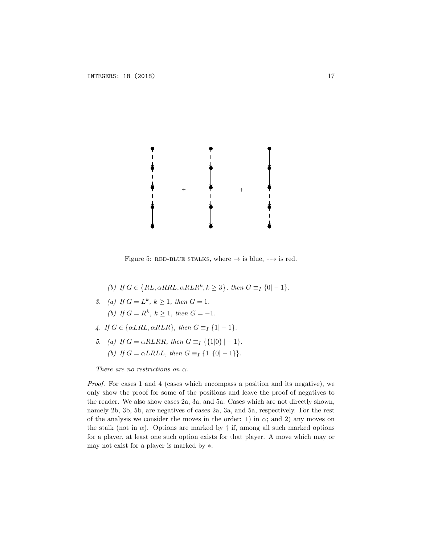

Figure 5: RED-BLUE STALKS, where  $\rightarrow$  is blue,  $\rightarrow$  is red.

- *(b) If*  $G \in \{RL, \alpha RRL, \alpha RLR^k, k \geq 3\}$ , then  $G \equiv_I \{0| 1\}$ .
- *3. (a) If*  $G = L^k$ *,*  $k \ge 1$ *, then*  $G = 1$ *. (b) If*  $G = R^k$ *,*  $k \geq 1$ *, then*  $G = -1$ *.*
- *4. If*  $G \in \{ \alpha LRL, \alpha RLR \}$ , then  $G \equiv_I \{1 | -1 \}$ .
- *5. (a) If*  $G = \alpha R L R R$ *, then*  $G \equiv I \{1|0\} 1$ *, (b) If*  $G = \alpha L R L L$ *, then*  $G \equiv I \{1 | \{0 | -1 \} \}$ *.*

*There are no restrictions on* α*.*

*Proof.* For cases 1 and 4 (cases which encompass a position and its negative), we only show the proof for some of the positions and leave the proof of negatives to the reader. We also show cases 2a, 3a, and 5a. Cases which are not directly shown, namely 2b, 3b, 5b, are negatives of cases 2a, 3a, and 5a, respectively. For the rest of the analysis we consider the moves in the order: 1) in  $\alpha$ ; and 2) any moves on the stalk (not in  $\alpha$ ). Options are marked by  $\dagger$  if, among all such marked options for a player, at least one such option exists for that player. A move which may or may not exist for a player is marked by ∗.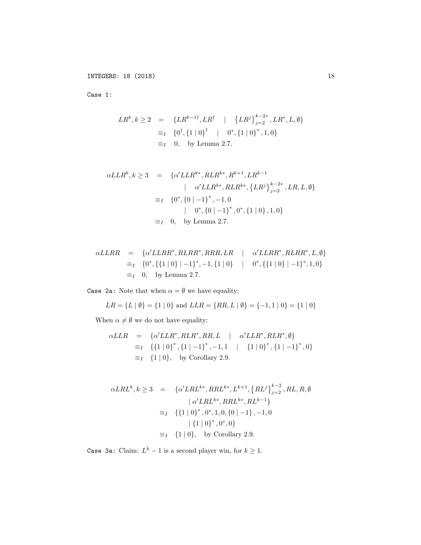Case 1:

$$
LR^{k}, k \ge 2 = \{LR^{k-1\dagger}, LR^{\dagger} \mid \{LR^{j}\}_{j=2}^{k-2*}, LR^{*}, L, \emptyset\}
$$
  
\n
$$
\equiv_I \{0^{\dagger}, \{1 \mid 0\}^{\dagger} \mid 0^{*}, \{1 \mid 0\}^{*}, 1, 0\}
$$
  
\n
$$
\equiv_I 0, \text{ by Lemma 2.7.}
$$

$$
\alpha LLR^{k}, k \ge 3 = \{ \alpha' LLR^{k*}, RLR^{k*}, R^{k+1}, LR^{k-1} | \alpha' LLR^{k*}, RLR^{k*}, \{LR^{j}\}_{j=2}^{k-2*}, LR, L, \emptyset \}
$$
  

$$
\equiv_I \{ 0^{*}, \{0 \mid -1\}^{*}, -1, 0 | \quad 0^{*}, \{0 \mid -1\}^{*}, 0^{*}, \{1 \mid 0\}, 1, 0 \}
$$
  

$$
\equiv_I \quad 0, \quad \text{by Lemma 2.7.}
$$

$$
\alpha LLRR = \{ \alpha' LLRR^*, RLRR^*, RRR, LR \mid \alpha' LLRR^*, RLRR^*, L, \emptyset \}
$$
  
\n
$$
\equiv_I \{ 0^*, \{ \{1 \mid 0 \} \mid -1 \}^*, -1, \{ 1 \mid 0 \} \mid 0^*, \{ \{ 1 \mid 0 \} \mid -1 \}^*, 1, 0 \}
$$
  
\n
$$
\equiv_I 0, \text{ by Lemma 2.7.}
$$

Case 2a: Note that when  $\alpha = \emptyset$  we have equality:

$$
LR = \{L \mid \emptyset\} = \{1 \mid 0\} \text{ and } LLR = \{RR, L \mid \emptyset\} = \{-1, 1 \mid 0\} = \{1 \mid 0\}
$$

When  $\alpha\neq\emptyset$  we do not have equality:

$$
\alpha LLR = \{ \alpha' LLR^*, RLR^*, RR, L \mid \alpha' LLR^*, RLR^*, \emptyset \}
$$
  
\n
$$
\equiv_I \{ \{1 \mid 0 \}^*, \{1 \mid -1 \}^*, -1, 1 \mid \{1 \mid 0 \}^*, \{1 \mid -1 \}^*, 0 \}
$$
  
\n
$$
\equiv_I \{1 \mid 0 \}, \text{ by Corollary 2.9.}
$$

$$
\alpha LRL^{k}, k \ge 3 = \{ \alpha' LRL^{k*}, RRL^{k*}, L^{k+1}, \{ RL^{j} \}_{j=2}^{k-2}, RL, R, \emptyset
$$

$$
| \alpha' LRL^{k*}, RRL^{k*}, RL^{k-1} \}
$$

$$
\equiv_I \{ \{1 \mid 0\}^{*}, 0^{*}, 1, 0, \{0 \mid -1\}, -1, 0
$$

$$
| \{1 \mid 0\}^{*}, 0^{*}, 0 \}
$$

$$
\equiv_I \{1 \mid 0\}, \text{ by Corollary 2.9.}
$$

Case 3a: Claim:  $L^k - 1$  is a second player win, for  $k \ge 1$ .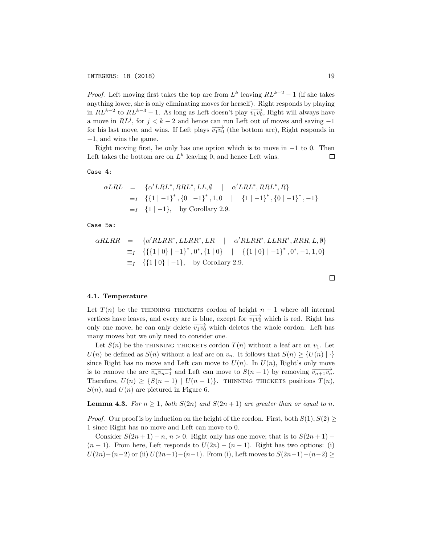*Proof.* Left moving first takes the top arc from  $L^k$  leaving  $RL^{k-2} - 1$  (if she takes anything lower, she is only eliminating moves for herself). Right responds by playing in  $RL^{k-2}$  to  $RL^{k-3} - 1$ . As long as Left doesn't play  $\overrightarrow{v_1v_0}$ , Right will always have a move in  $RL<sup>j</sup>$ , for  $j < k - 2$  and hence can run Left out of moves and saving  $-1$ for his last move, and wins. If Left plays  $\overrightarrow{v_1v_0}$  (the bottom arc), Right responds in −1, and wins the game.

Right moving first, he only has one option which is to move in −1 to 0. Then ft takes the bottom arc on  $L^k$  leaving 0, and hence Left wins. Left takes the bottom arc on  $L^k$  leaving 0, and hence Left wins.

Case 4:

$$
\alpha LRL = \{ \alpha' LRL^*, RRL^*, LL, \emptyset \mid \alpha' LRL^*, RRL^*, R \}
$$
  
\n
$$
\equiv_I \{ \{1 \mid -1 \}^*, \{0 \mid -1 \}^*, 1, 0 \mid \{1 \mid -1 \}^*, \{0 \mid -1 \}^*, -1 \}
$$
  
\n
$$
\equiv_I \{1 \mid -1 \}, \text{ by Corollary 2.9.}
$$

Case 5a:

$$
\alpha R L R R = \{ \alpha' R L R R^*, L L R R^*, L R R \mid \alpha' R L R R^*, L L R R^*, R R R, L, \emptyset \}
$$
  
\n
$$
\equiv_I \{ \{ \{1 \mid 0\} \mid -1 \}^*, 0^*, \{1 \mid 0\} \mid \{ \{1 \mid 0\} \mid -1 \}^*, 0^*, -1, 1, 0 \}
$$
  
\n
$$
\equiv_I \{ \{1 \mid 0\} \mid -1 \}, \text{ by Corollary 2.9.}
$$

#### 4.1. Temperature

Let  $T(n)$  be the THINNING THICKETS cordon of height  $n + 1$  where all internal vertices have leaves, and every arc is blue, except for  $\overrightarrow{v_1v_0}$  which is red. Right has only one move, he can only delete  $\overrightarrow{v_1v_0}$  which deletes the whole cordon. Left has many moves but we only need to consider one.

Let  $S(n)$  be the THINNING THICKETS cordon  $T(n)$  without a leaf arc on  $v_1$ . Let *U*(*n*) be defined as *S*(*n*) without a leaf arc on *v<sub>n</sub>*. It follows that  $S(n) \geq \{U(n) | \cdot\}$ since Right has no move and Left can move to  $U(n)$ . In  $U(n)$ , Right's only move is to remove the arc  $\overrightarrow{v_n v_{n-1}}$  and Left can move to  $S(n-1)$  by removing  $\overrightarrow{v_{n+1} v_n}$ . Therefore,  $U(n) \geq \{S(n-1) | U(n-1)\}$ . THINNING THICKETS positions  $T(n)$ ,  $S(n)$ , and  $U(n)$  are pictured in Figure 6.

**Lemma 4.3.** For  $n \geq 1$ , both  $S(2n)$  and  $S(2n + 1)$  are greater than or equal to *n*.

*Proof.* Our proof is by induction on the height of the cordon. First, both  $S(1)$ ,  $S(2)$ 1 since Right has no move and Left can move to 0.

Consider  $S(2n+1) - n$ ,  $n > 0$ . Right only has one move; that is to  $S(2n+1) (n-1)$ . From here, Left responds to  $U(2n) - (n-1)$ . Right has two options: (i) *U*(2*n*)−(*n*−2) or (ii) *U*(2*n*−1)−(*n*−1). From (i), Left moves to  $S(2n-1)-(n-2)$  ≥

$$
\sqcup
$$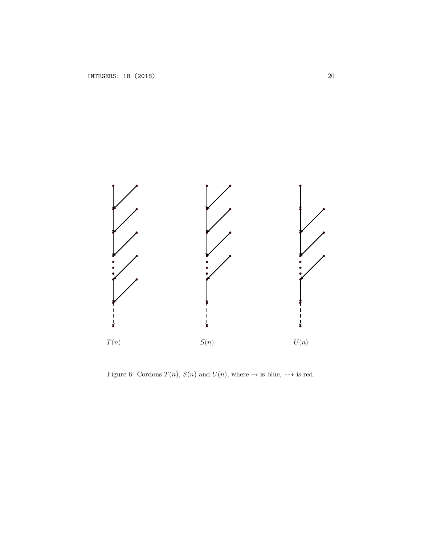

Figure 6: Cordons  $T(n)$ ,  $S(n)$  and  $U(n)$ , where  $\rightarrow$  is blue,  $\rightarrow$  is red.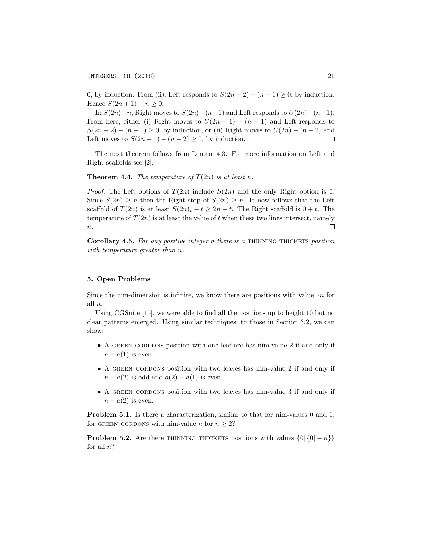0, by induction. From (ii), Left responds to  $S(2n-2) - (n-1) \geq 0$ , by induction. Hence *S*(2*n* + 1) − *n* ≥ 0.

In *S*(2*n*)−*n*, Right moves to *S*(2*n*)−(*n*−1) and Left responds to *U*(2*n*)−(*n*−1). From here, either (i) Right moves to  $U(2n-1) - (n-1)$  and Left responds to  $S(2n-2) - (n-1) \ge 0$ , by induction, or (ii) Right moves to  $U(2n) - (n-2)$  and Left moves to  $S(2n-1) - (n-2) \ge 0$ , by induction. Left moves to  $S(2n-1) - (n-2) \geq 0$ , by induction.

The next theorem follows from Lemma 4.3. For more information on Left and Right scaffolds see [2].

**Theorem 4.4.** *The temperature of*  $T(2n)$  *is at least n.* 

*Proof.* The Left options of  $T(2n)$  include  $S(2n)$  and the only Right option is 0. Since  $S(2n) \geq n$  then the Right stop of  $S(2n) \geq n$ . It now follows that the Left scaffold of  $T(2n)$  is at least  $S(2n)_t - t \geq 2n - t$ . The Right scaffold is  $0 + t$ . The temperature of  $T(2n)$  is at least the value of t when these two lines intersect, namely П *n*.

Corollary 4.5. *For any positive integer n there is a* thinning thickets *position with temperature greater than n.*

### 5. Open Problems

Since the nim-dimension is infinite, we know there are positions with value ∗*n* for all *n*.

Using CGSuite [15], we were able to find all the positions up to height 10 but no clear patterns emerged. Using similar techniques, to those in Section 3.2, we can show:

- A GREEN CORDONS position with one leaf arc has nim-value 2 if and only if  $n - a(1)$  is even.
- A GREEN CORDONS position with two leaves has nim-value 2 if and only if  $n - a(2)$  is odd and  $a(2) - a(1)$  is even.
- A GREEN CORDONS position with two leaves has nim-value 3 if and only if  $n - a(2)$  is even.

Problem 5.1. Is there a characterization, similar to that for nim-values 0 and 1, for GREEN CORDONS with nim-value *n* for  $n \geq 2$ ?

**Problem 5.2.** Are there THINNING THICKETS positions with values  $\{0|\{0| - n\}\}\$ for all *n*?